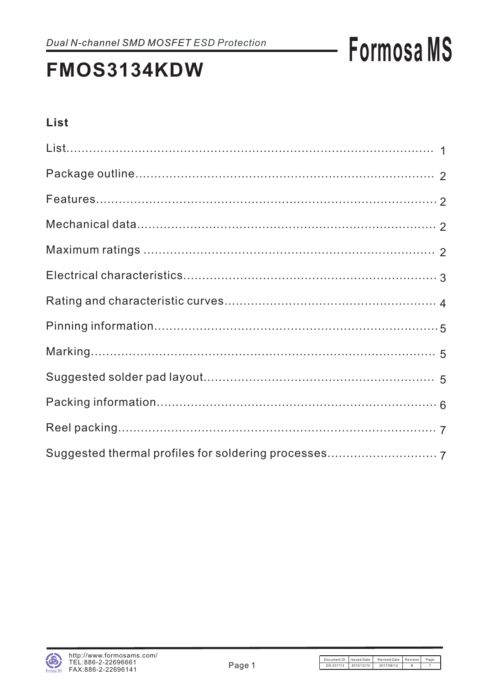## **FMOS3134KDW**

### **List**

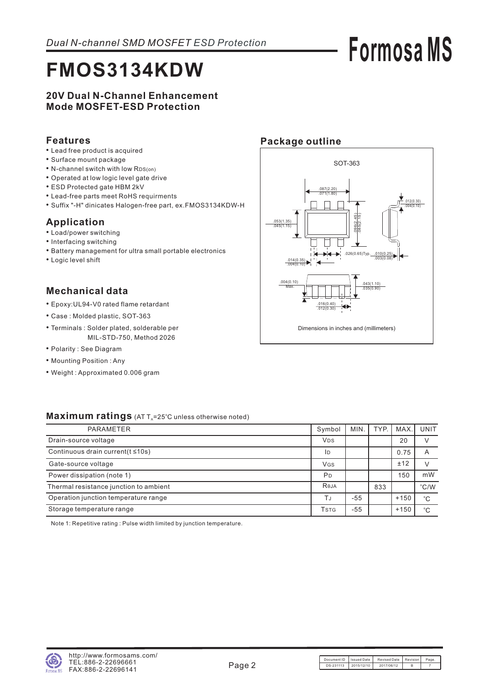## **FMOS3134KDW**

#### **20V Dual N-Channel Enhancement Mode MOSFET-ESD Protection**

#### **Features**

- Lead free product is acquired
- Surface mount package
- N-channel switch with low RDS(on)
- Operated at low logic level gate drive
- ESD Protected gate HBM 2kV
- Lead-free parts meet RoHS requirments
- Suffix "-H" dinicates Halogen-free part, ex.FMOS3134KDW-H •

### **Application**

- Load/power switching
- Interfacing switching
- Battery management for ultra small portable electronics
- Logic level shift

### **Mechanical data**

- Epoxy:UL94-V0 rated flame retardant
- Case : Molded plastic, SOT-363
- Terminals : Solder plated, solderable per MIL-STD-750, Method 2026
- Polarity : See Diagram
- Mounting Position : Any
- Weight : Approximated 0.006 gram

### **Package outline**



#### **Maximum ratings** (AT T<sub>a</sub>=25°C unless otherwise noted)

| PARAMETER                               | Symbol                               | MIN.  | TYP. | MAX.   | <b>UNIT</b>   |
|-----------------------------------------|--------------------------------------|-------|------|--------|---------------|
| Drain-source voltage                    | <b>V<sub>DS</sub></b>                |       |      | 20     |               |
| Continuous drain current( $t \le 10s$ ) | ID                                   |       |      | 0.75   | A             |
| Gate-source voltage                     | VGS                                  |       |      | ±12    |               |
| Power dissipation (note 1)              | P <sub>D</sub>                       |       |      | 150    | mW            |
| Thermal resistance junction to ambient  | Reja                                 |       | 833  |        | $\degree$ C/W |
| Operation junction temperature range    | TJ                                   | -55   |      | $+150$ | $^{\circ}C$   |
| Storage temperature range               | <b>T</b> <sub>S</sub> T <sub>G</sub> | $-55$ |      | $+150$ | $^{\circ}C$   |

Note 1: Repetitive rating : Pulse width limited by junction temperature.

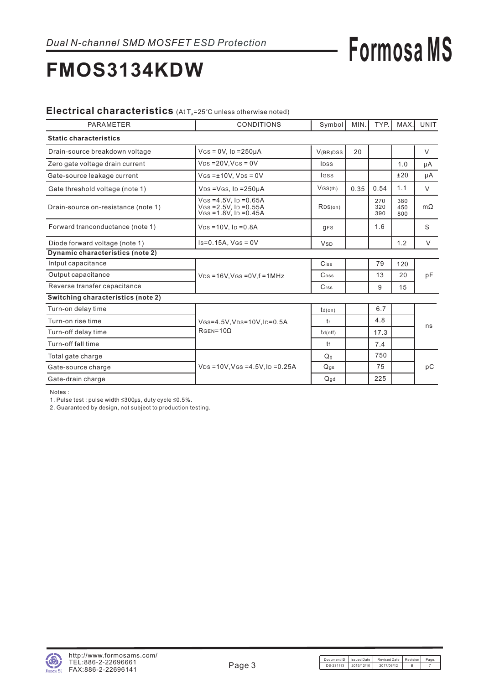## **FMOS3134KDW**

### Electrical characteristics (At T<sub>A</sub>=25°C unless otherwise noted)

| <b>PARAMETER</b>                    | <b>CONDITIONS</b>                                                                   | Symbol                | MIN. | TYP.              | MAX.              | <b>UNIT</b> |
|-------------------------------------|-------------------------------------------------------------------------------------|-----------------------|------|-------------------|-------------------|-------------|
| <b>Static characteristics</b>       |                                                                                     |                       |      |                   |                   |             |
| Drain-source breakdown voltage      | $V$ GS = 0V, ID = 250µA                                                             | V(BR)DSS              | 20   |                   |                   | $\vee$      |
| Zero gate voltage drain current     | $VDS = 20V$ , $VGS = 0V$                                                            | IDSS                  |      |                   | 1.0               | μA          |
| Gate-source leakage current         | $V$ GS = $±10V$ . $V$ ps = 0V                                                       | <b>IGSS</b>           |      |                   | ±20               | μA          |
| Gate threshold voltage (note 1)     | $VDS = VGS$ , $ID = 250\mu A$                                                       | VGS(th)               | 0.35 | 0.54              | 1.1               | V           |
| Drain-source on-resistance (note 1) | $V$ GS = 4.5V, ID = 0.65A<br>$V$ GS = 2.5V, ID = 0.55A<br>$V$ GS = 1.8V, ID = 0.45A | RDS(on)               |      | 270<br>320<br>390 | 380<br>450<br>800 | $m\Omega$   |
| Forward tranconductance (note 1)    | $VDS = 10V$ , $ID = 0.8A$                                                           | $q$ FS                |      | 1.6               |                   | S           |
| Diode forward voltage (note 1)      | $Is=0.15A, V(s=0V)$                                                                 | <b>V<sub>SD</sub></b> |      |                   | 1.2               | $\vee$      |
| Dynamic characteristics (note 2)    |                                                                                     |                       |      |                   |                   |             |
| Intput capacitance                  |                                                                                     | Ciss                  |      | 79                | 120               |             |
| Output capacitance                  | $V_{DS} = 16V$ , $V_{GS} = 0V$ , $f = 1MHz$                                         | $\mathsf{Coss}$       |      | 13                | 20                | pF          |
| Reverse transfer capacitance        |                                                                                     | Crss                  |      | 9                 | 15                |             |
| Switching characteristics (note 2)  |                                                                                     |                       |      |                   |                   |             |
| Turn-on delay time                  |                                                                                     | $td($ on)             |      | 6.7               |                   |             |
| Turn-on rise time                   | VGS=4.5V, VDS=10V, ID=0.5A                                                          | tr                    |      | 4.8               |                   | ns          |
| Turn-off delay time                 | $RGEN=10\Omega$                                                                     | $td($ off $)$         |      | 17.3              |                   |             |
| Turn-off fall time                  |                                                                                     | tf                    |      | 7.4               |                   |             |
| Total gate charge                   |                                                                                     | Q <sub>q</sub>        |      | 750               |                   |             |
| Gate-source charge                  | $V_{DS} = 10V$ , $V_{GS} = 4.5V$ , $I_D = 0.25A$                                    | Q <sub>gs</sub>       |      | 75                |                   | рC          |
| Gate-drain charge                   |                                                                                     | Qqd                   |      | 225               |                   |             |

Notes :

1. Pulse test : pulse width ≤300μs, duty cycle ≤0.5%.

2. Guaranteed by design, not subject to production testing.



**Formosa MS**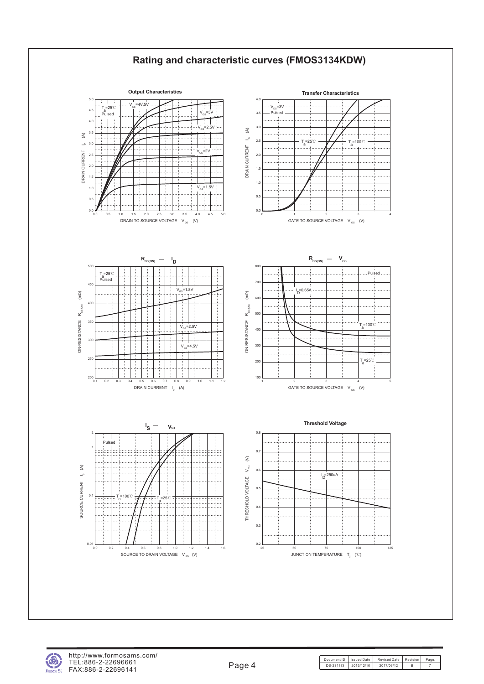

http://www.formosams.com/ TEL:886-2-22696661 FAX:886-2-22696141

Document ID Issued Date Revised Date Revision Page. DS-231113 2015/12/10 2017/06/12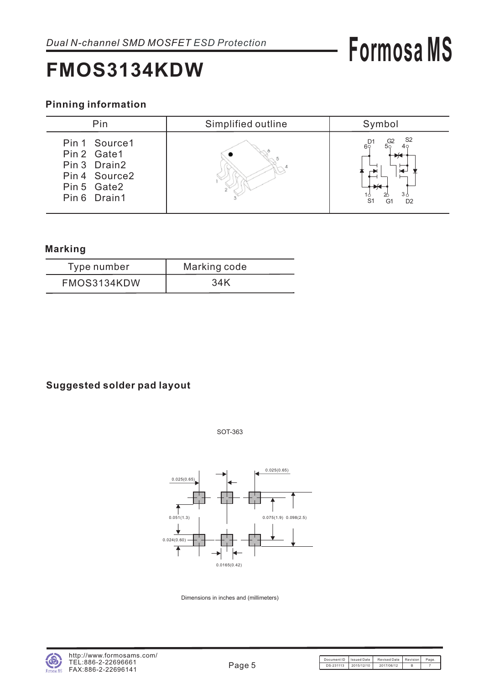### **FMOS3134KDW**

# **Formosa MS**

### **Pinning information**

| Pin                                                                                           | Simplified outline | Symbol                                                                                                          |
|-----------------------------------------------------------------------------------------------|--------------------|-----------------------------------------------------------------------------------------------------------------|
| Pin 1 Source 1<br>Pin 2 Gate1<br>Pin 3 Drain2<br>Pin 4 Source2<br>Pin 5 Gate2<br>Pin 6 Drain1 |                    | S <sub>2</sub><br>G2<br>$6^\circ$<br>50<br>3 <sub>6</sub><br>S <sub>1</sub><br>G <sub>1</sub><br>D <sub>2</sub> |

#### **Marking**

| Type number | Marking code |
|-------------|--------------|
| FMOS3134KDW | 34K          |

### **Suggested solder pad layout**

SOT-363



Dimensions in inches and (millimeters)

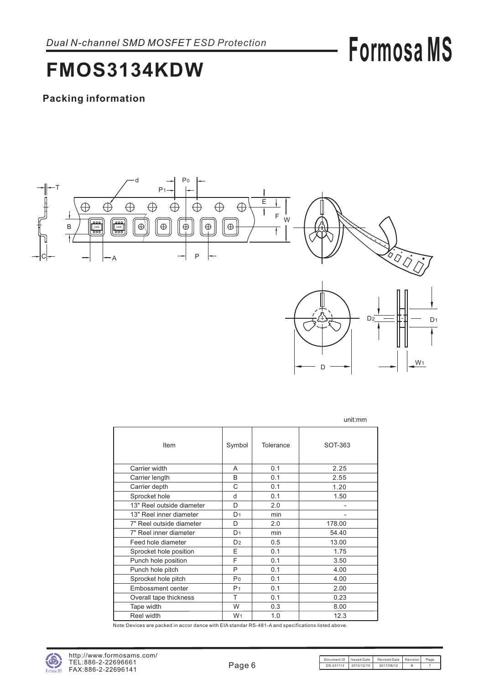## **FMOS3134KDW**

### **Packing information**



|                           |                |           | unit:mm |
|---------------------------|----------------|-----------|---------|
| Item                      | Symbol         | Tolerance | SOT-363 |
| Carrier width             | A              | 0.1       | 2.25    |
| Carrier length            | B              | 0.1       | 2.55    |
| Carrier depth             | C              | 0.1       | 1.20    |
| Sprocket hole             | d              | 0.1       | 1.50    |
| 13" Reel outside diameter | D              | 2.0       |         |
| 13" Reel inner diameter   | D <sub>1</sub> | min       |         |
| 7" Reel outside diameter  | D              | 2.0       | 178.00  |
| 7" Reel inner diameter    | D <sub>1</sub> | min       | 54.40   |
| Feed hole diameter        | D <sub>2</sub> | 0.5       | 13.00   |
| Sprocket hole position    | E              | 0.1       | 1.75    |
| Punch hole position       | F              | 0.1       | 3.50    |
| Punch hole pitch          | P              | 0.1       | 4.00    |
| Sprocket hole pitch       | P <sub>0</sub> | 0.1       | 4.00    |
| <b>Embossment center</b>  | P <sub>1</sub> | 0.1       | 2.00    |
| Overall tape thickness    | Т              | 0.1       | 0.23    |
| Tape width                | W              | 0.3       | 8.00    |
| Reel width                | W <sub>1</sub> | 1.0       | 12.3    |

Note:Devices are packed in accor dance with EIA standar RS-481-A and specifications listed above.